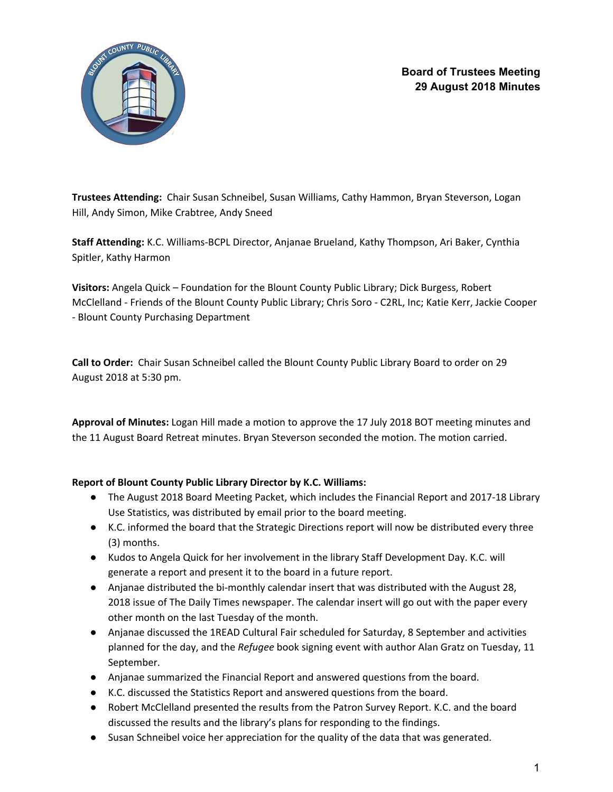

**Board of Trustees Meeting 29 August 2018 Minutes**

**Trustees Attending:** Chair Susan Schneibel, Susan Williams, Cathy Hammon, Bryan Steverson, Logan Hill, Andy Simon, Mike Crabtree, Andy Sneed

**Staff Attending:** K.C. Williams-BCPL Director, Anjanae Brueland, Kathy Thompson, Ari Baker, Cynthia Spitler, Kathy Harmon

**Visitors:** Angela Quick – Foundation for the Blount County Public Library; Dick Burgess, Robert McClelland - Friends of the Blount County Public Library; Chris Soro - C2RL, Inc; Katie Kerr, Jackie Cooper - Blount County Purchasing Department

**Call to Order:** Chair Susan Schneibel called the Blount County Public Library Board to order on 29 August 2018 at 5:30 pm.

**Approval of Minutes:** Logan Hill made a motion to approve the 17 July 2018 BOT meeting minutes and the 11 August Board Retreat minutes. Bryan Steverson seconded the motion. The motion carried.

# **Report of Blount County Public Library Director by K.C. Williams:**

- The August 2018 Board Meeting Packet, which includes the Financial Report and 2017-18 Library Use Statistics, was distributed by email prior to the board meeting.
- K.C. informed the board that the Strategic Directions report will now be distributed every three (3) months.
- Kudos to Angela Quick for her involvement in the library Staff Development Day. K.C. will generate a report and present it to the board in a future report.
- Anjanae distributed the bi-monthly calendar insert that was distributed with the August 28, 2018 issue of The Daily Times newspaper. The calendar insert will go out with the paper every other month on the last Tuesday of the month.
- Anjanae discussed the 1READ Cultural Fair scheduled for Saturday, 8 September and activities planned for the day, and the *Refugee* book signing event with author Alan Gratz on Tuesday, 11 September.
- Anjanae summarized the Financial Report and answered questions from the board.
- K.C. discussed the Statistics Report and answered questions from the board.
- Robert McClelland presented the results from the Patron Survey Report. K.C. and the board discussed the results and the library's plans for responding to the findings.
- Susan Schneibel voice her appreciation for the quality of the data that was generated.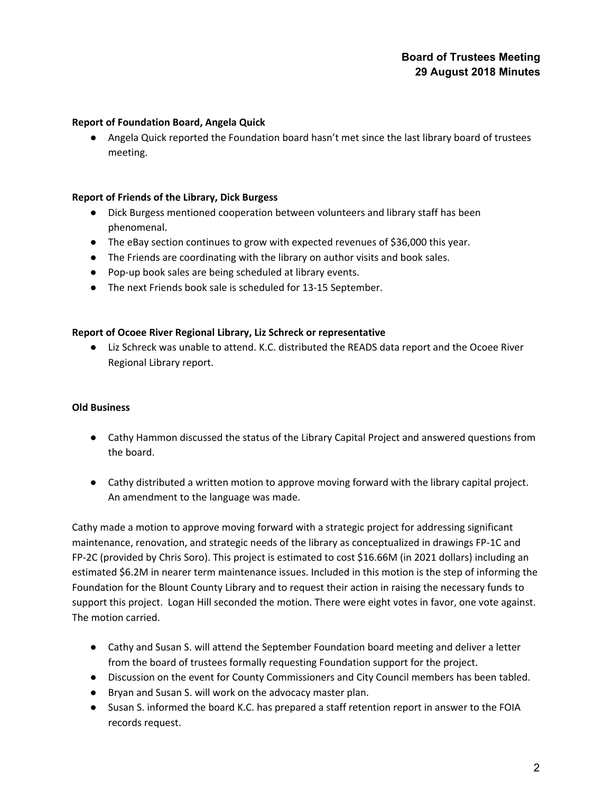# **Board of Trustees Meeting 29 August 2018 Minutes**

#### **Report of Foundation Board, Angela Quick**

● Angela Quick reported the Foundation board hasn't met since the last library board of trustees meeting.

## **Report of Friends of the Library, Dick Burgess**

- Dick Burgess mentioned cooperation between volunteers and library staff has been phenomenal.
- The eBay section continues to grow with expected revenues of \$36,000 this year.
- The Friends are coordinating with the library on author visits and book sales.
- Pop-up book sales are being scheduled at library events.
- The next Friends book sale is scheduled for 13-15 September.

#### **Report of Ocoee River Regional Library, Liz Schreck or representative**

● Liz Schreck was unable to attend. K.C. distributed the READS data report and the Ocoee River Regional Library report.

#### **Old Business**

- Cathy Hammon discussed the status of the Library Capital Project and answered questions from the board.
- Cathy distributed a written motion to approve moving forward with the library capital project. An amendment to the language was made.

Cathy made a motion to approve moving forward with a strategic project for addressing significant maintenance, renovation, and strategic needs of the library as conceptualized in drawings FP-1C and FP-2C (provided by Chris Soro). This project is estimated to cost \$16.66M (in 2021 dollars) including an estimated \$6.2M in nearer term maintenance issues. Included in this motion is the step of informing the Foundation for the Blount County Library and to request their action in raising the necessary funds to support this project. Logan Hill seconded the motion. There were eight votes in favor, one vote against. The motion carried.

- Cathy and Susan S. will attend the September Foundation board meeting and deliver a letter from the board of trustees formally requesting Foundation support for the project.
- Discussion on the event for County Commissioners and City Council members has been tabled.
- Bryan and Susan S. will work on the advocacy master plan.
- Susan S. informed the board K.C. has prepared a staff retention report in answer to the FOIA records request.